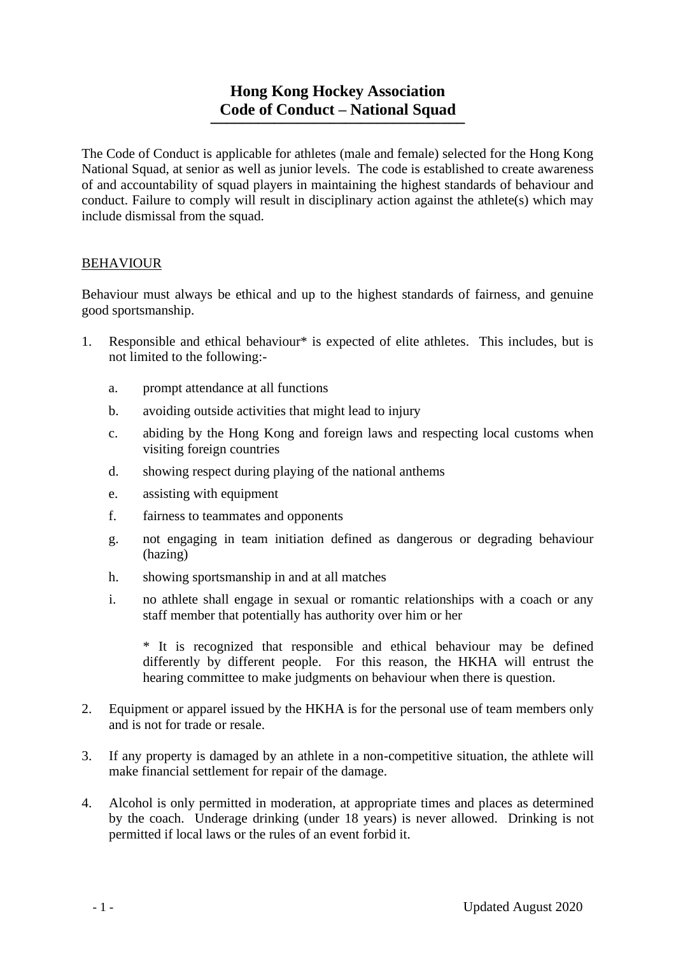# **Hong Kong Hockey Association Code of Conduct – National Squad \_\_\_\_\_\_\_\_\_\_\_\_\_\_\_\_\_\_\_\_\_\_\_\_\_\_\_\_\_\_\_\_**

The Code of Conduct is applicable for athletes (male and female) selected for the Hong Kong National Squad, at senior as well as junior levels. The code is established to create awareness of and accountability of squad players in maintaining the highest standards of behaviour and conduct. Failure to comply will result in disciplinary action against the athlete(s) which may include dismissal from the squad.

#### BEHAVIOUR

Behaviour must always be ethical and up to the highest standards of fairness, and genuine good sportsmanship.

- 1. Responsible and ethical behaviour\* is expected of elite athletes. This includes, but is not limited to the following:
	- a. prompt attendance at all functions
	- b. avoiding outside activities that might lead to injury
	- c. abiding by the Hong Kong and foreign laws and respecting local customs when visiting foreign countries
	- d. showing respect during playing of the national anthems
	- e. assisting with equipment
	- f. fairness to teammates and opponents
	- g. not engaging in team initiation defined as dangerous or degrading behaviour (hazing)
	- h. showing sportsmanship in and at all matches
	- i. no athlete shall engage in sexual or romantic relationships with a coach or any staff member that potentially has authority over him or her

\* It is recognized that responsible and ethical behaviour may be defined differently by different people. For this reason, the HKHA will entrust the hearing committee to make judgments on behaviour when there is question.

- 2. Equipment or apparel issued by the HKHA is for the personal use of team members only and is not for trade or resale.
- 3. If any property is damaged by an athlete in a non-competitive situation, the athlete will make financial settlement for repair of the damage.
- 4. Alcohol is only permitted in moderation, at appropriate times and places as determined by the coach. Underage drinking (under 18 years) is never allowed. Drinking is not permitted if local laws or the rules of an event forbid it.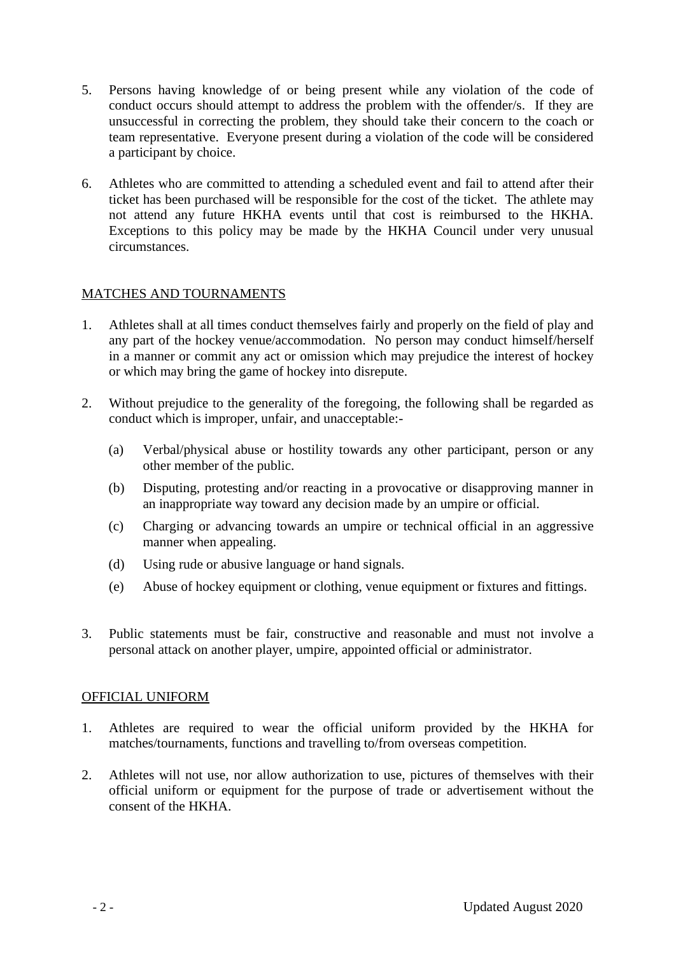- 5. Persons having knowledge of or being present while any violation of the code of conduct occurs should attempt to address the problem with the offender/s. If they are unsuccessful in correcting the problem, they should take their concern to the coach or team representative. Everyone present during a violation of the code will be considered a participant by choice.
- 6. Athletes who are committed to attending a scheduled event and fail to attend after their ticket has been purchased will be responsible for the cost of the ticket. The athlete may not attend any future HKHA events until that cost is reimbursed to the HKHA. Exceptions to this policy may be made by the HKHA Council under very unusual circumstances.

# MATCHES AND TOURNAMENTS

- 1. Athletes shall at all times conduct themselves fairly and properly on the field of play and any part of the hockey venue/accommodation. No person may conduct himself/herself in a manner or commit any act or omission which may prejudice the interest of hockey or which may bring the game of hockey into disrepute.
- 2. Without prejudice to the generality of the foregoing, the following shall be regarded as conduct which is improper, unfair, and unacceptable:-
	- (a) Verbal/physical abuse or hostility towards any other participant, person or any other member of the public.
	- (b) Disputing, protesting and/or reacting in a provocative or disapproving manner in an inappropriate way toward any decision made by an umpire or official.
	- (c) Charging or advancing towards an umpire or technical official in an aggressive manner when appealing.
	- (d) Using rude or abusive language or hand signals.
	- (e) Abuse of hockey equipment or clothing, venue equipment or fixtures and fittings.
- 3. Public statements must be fair, constructive and reasonable and must not involve a personal attack on another player, umpire, appointed official or administrator.

# OFFICIAL UNIFORM

- 1. Athletes are required to wear the official uniform provided by the HKHA for matches/tournaments, functions and travelling to/from overseas competition.
- 2. Athletes will not use, nor allow authorization to use, pictures of themselves with their official uniform or equipment for the purpose of trade or advertisement without the consent of the HKHA.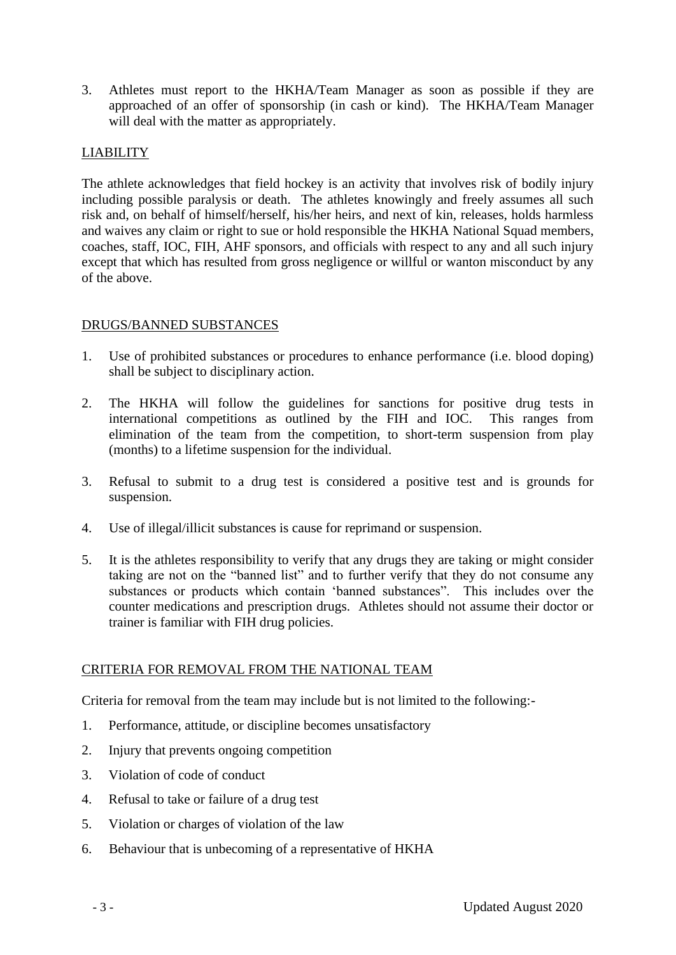3. Athletes must report to the HKHA/Team Manager as soon as possible if they are approached of an offer of sponsorship (in cash or kind). The HKHA/Team Manager will deal with the matter as appropriately.

# LIABILITY

The athlete acknowledges that field hockey is an activity that involves risk of bodily injury including possible paralysis or death. The athletes knowingly and freely assumes all such risk and, on behalf of himself/herself, his/her heirs, and next of kin, releases, holds harmless and waives any claim or right to sue or hold responsible the HKHA National Squad members, coaches, staff, IOC, FIH, AHF sponsors, and officials with respect to any and all such injury except that which has resulted from gross negligence or willful or wanton misconduct by any of the above.

# DRUGS/BANNED SUBSTANCES

- 1. Use of prohibited substances or procedures to enhance performance (i.e. blood doping) shall be subject to disciplinary action.
- 2. The HKHA will follow the guidelines for sanctions for positive drug tests in international competitions as outlined by the FIH and IOC. This ranges from elimination of the team from the competition, to short-term suspension from play (months) to a lifetime suspension for the individual.
- 3. Refusal to submit to a drug test is considered a positive test and is grounds for suspension.
- 4. Use of illegal/illicit substances is cause for reprimand or suspension.
- 5. It is the athletes responsibility to verify that any drugs they are taking or might consider taking are not on the "banned list" and to further verify that they do not consume any substances or products which contain 'banned substances". This includes over the counter medications and prescription drugs. Athletes should not assume their doctor or trainer is familiar with FIH drug policies.

# CRITERIA FOR REMOVAL FROM THE NATIONAL TEAM

Criteria for removal from the team may include but is not limited to the following:-

- 1. Performance, attitude, or discipline becomes unsatisfactory
- 2. Injury that prevents ongoing competition
- 3. Violation of code of conduct
- 4. Refusal to take or failure of a drug test
- 5. Violation or charges of violation of the law
- 6. Behaviour that is unbecoming of a representative of HKHA